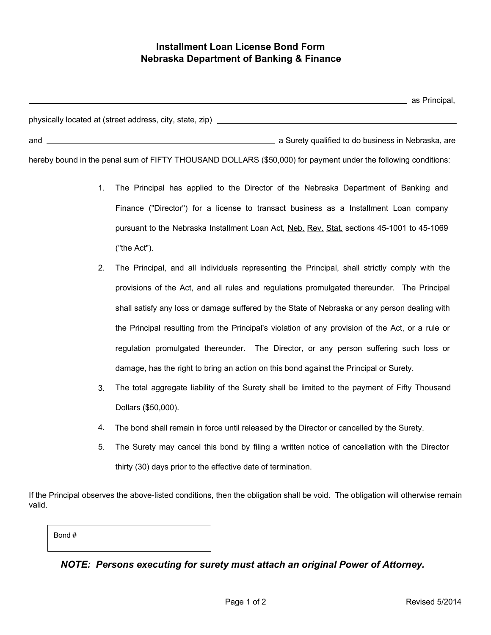## Installment Loan License Bond Form Nebraska Department of Banking & Finance

|                                                          | as Principal,                                      |
|----------------------------------------------------------|----------------------------------------------------|
| physically located at (street address, city, state, zip) |                                                    |
| and                                                      | a Surety qualified to do business in Nebraska, are |

hereby bound in the penal sum of FIFTY THOUSAND DOLLARS (\$50,000) for payment under the following conditions:

- 1. The Principal has applied to the Director of the Nebraska Department of Banking and Finance ("Director") for a license to transact business as a Installment Loan company pursuant to the Nebraska Installment Loan Act, Neb. Rev. Stat. sections 45-1001 to 45-1069 ("the Act").
- 2. The Principal, and all individuals representing the Principal, shall strictly comply with the provisions of the Act, and all rules and regulations promulgated thereunder. The Principal shall satisfy any loss or damage suffered by the State of Nebraska or any person dealing with the Principal resulting from the Principal's violation of any provision of the Act, or a rule or regulation promulgated thereunder. The Director, or any person suffering such loss or damage, has the right to bring an action on this bond against the Principal or Surety.
- The total aggregate liability of the Surety shall be limited to the payment of Fifty Thousand Dollars (\$50,000). 3.
- 4. The bond shall remain in force until released by the Director or cancelled by the Surety.
- 5. The Surety may cancel this bond by filing a written notice of cancellation with the Director thirty (30) days prior to the effective date of termination.

If the Principal observes the above-listed conditions, then the obligation shall be void. The obligation will otherwise remain valid.

| Bond# |  |  |  |
|-------|--|--|--|
|       |  |  |  |

## *NOTE: Persons executing for surety must attach an original Power of Attorney.*